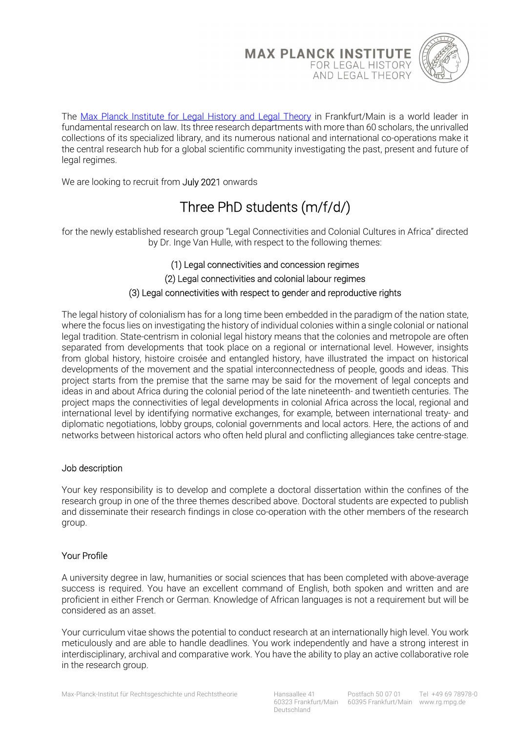



The Max Planck Institute for Legal History and Legal Theory in Frankfurt/Main is a world leader in fundamental research on law. Its three research departments with more than 60 scholars, the unrivalled collections of its specialized library, and its numerous national and international co-operations make it the central research hub for a global scientific community investigating the past, present and future of legal regimes.

We are looking to recruit from July 2021 onwards

# Three PhD students (m/f/d/)

for the newly established research group "Legal Connectivities and Colonial Cultures in Africa" directed by Dr. Inge Van Hulle, with respect to the following themes:

# (1) Legal connectivities and concession regimes

(2) Legal connectivities and colonial labour regimes

## (3) Legal connectivities with respect to gender and reproductive rights

The legal history of colonialism has for a long time been embedded in the paradigm of the nation state, where the focus lies on investigating the history of individual colonies within a single colonial or national legal tradition. State-centrism in colonial legal history means that the colonies and metropole are often separated from developments that took place on a regional or international level. However, insights from global history, histoire croisée and entangled history, have illustrated the impact on historical developments of the movement and the spatial interconnectedness of people, goods and ideas. This project starts from the premise that the same may be said for the movement of legal concepts and ideas in and about Africa during the colonial period of the late nineteenth- and twentieth centuries. The project maps the connectivities of legal developments in colonial Africa across the local, regional and international level by identifying normative exchanges, for example, between international treaty- and diplomatic negotiations, lobby groups, colonial governments and local actors. Here, the actions of and networks between historical actors who often held plural and conflicting allegiances take centre-stage.

#### Job description

Your key responsibility is to develop and complete a doctoral dissertation within the confines of the research group in one of the three themes described above. Doctoral students are expected to publish and disseminate their research findings in close co-operation with the other members of the research group.

#### Your Profile

A university degree in law, humanities or social sciences that has been completed with above-average success is required. You have an excellent command of English, both spoken and written and are proficient in either French or German. Knowledge of African languages is not a requirement but will be considered as an asset.

Your curriculum vitae shows the potential to conduct research at an internationally high level. You work meticulously and are able to handle deadlines. You work independently and have a strong interest in interdisciplinary, archival and comparative work. You have the ability to play an active collaborative role in the research group.

Deutschland